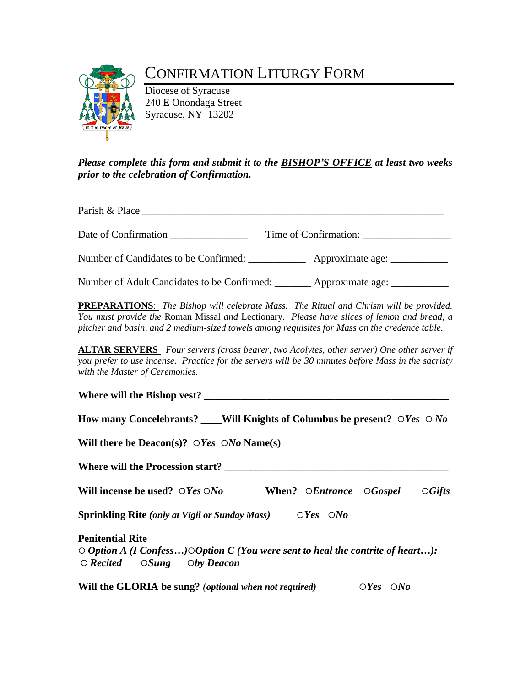# CONFIRMATION LITURGY FORM

Diocese of Syracuse 240 E Onondaga Street Syracuse, NY 13202

## *Please complete this form and submit it to the BISHOP'S OFFICE at least two weeks prior to the celebration of Confirmation.*

Parish & Place

Date of Confirmation Time of Confirmation:

Number of Candidates to be Confirmed:  $\blacksquare$  Approximate age:

Number of Adult Candidates to be Confirmed: \_\_\_\_\_\_\_\_\_\_\_ Approximate age: \_\_\_\_\_\_\_

**PREPARATIONS**: *The Bishop will celebrate Mass. The Ritual and Chrism will be provided. You must provide the* Roman Missal *and* Lectionary. *Please have slices of lemon and bread, a pitcher and basin, and 2 medium-sized towels among requisites for Mass on the credence table.*

**ALTAR SERVERS** *Four servers (cross bearer, two Acolytes, other server) One other server if you prefer to use incense. Practice for the servers will be 30 minutes before Mass in the sacristy with the Master of Ceremonies.*

| Where will the Bishop vest?                                                                                                                                               |
|---------------------------------------------------------------------------------------------------------------------------------------------------------------------------|
| How many Concelebrants? ____Will Knights of Columbus be present? $\bigcirc Y_{\text{es}} \bigcirc N_{\text{O}}$                                                           |
|                                                                                                                                                                           |
|                                                                                                                                                                           |
| Will incense be used? $\bigcirc$ Yes $\bigcirc$ No When? $\bigcirc$ Entrance $\bigcirc$ Gospel $\bigcirc$ Gifts                                                           |
| <b>Sprinkling Rite</b> (only at Vigil or Sunday Mass) $OYes \quad ONo$                                                                                                    |
| <b>Penitential Rite</b><br>$\circ$ Option A (I Confess) $\circ$ Option C (You were sent to heal the contrite of heart):<br>$\circ$ Recited $\circ$ Sung $\circ$ by Deacon |
| Will the GLORIA be sung? (optional when not required)<br>$\bigcirc Yes \quad \bigcirc No$                                                                                 |